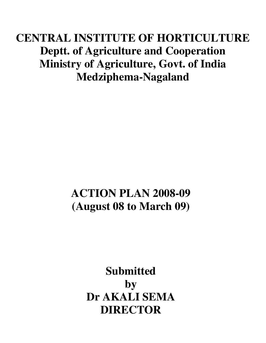# **CENTRAL INSTITUTE OF HORTICULTURE Deptt. of Agriculture and Cooperation Ministry of Agriculture, Govt. of India Medziphema-Nagaland**

# **ACTION PLAN 2008-09 (August 08 to March 09)**

**Submitted by Dr AKALI SEMA DIRECTOR**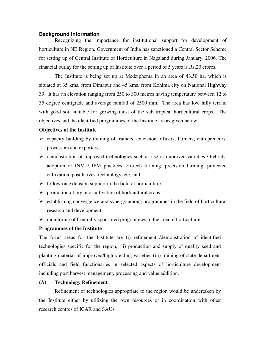#### **Background information**

Recognizing the importance for institutional support for development of horticulture in NE Region, Government of India has sanctioned a Central Sector Scheme for setting up of Central Institute of Horticulture in Nagaland during January, 2006. The financial outlay for the setting up of Institute over a period of 5 years is Rs.20 crores.

The Institute is being set up at Medziphema in an area of 43.50 ha, which is situated at 35 kms. from Dimapur and 45 kms. from Kohima city on National Highway 39. It has an elevation ranging from 250 to 300 metres having temperature between 12 to 35 degree centigrade and average rainfall of 2500 mm. The area has low hilly terrain with good soil suitable for growing most of the sub tropical horticultural crops. The objectives and the identified programmes of the Institute are as given below:

#### **Objectives of the Institute**

- capacity building by training of trainers, extension officers, farmers, entrepreneurs, processors and exporters,
- $\triangleright$  demonstration of improved technologies such as use of improved varieties / hybrids, adoption of INM / IPM practices, Hi-tech farming, precision farming, protected cultivation, post harvest technology, etc, and
- $\triangleright$  follow-on extension support in the field of horticulture.
- $\triangleright$  promotion of organic cultivation of horticultural crops.
- $\triangleright$  establishing convergence and synergy among programmes in the field of horticultural research and development.
- $\triangleright$  monitoring of Centrally sponsored programmes in the area of horticulture.

#### **Programmes of the Institute**

The focus areas for the Institute are (i) refinement /demonstration of identified technologies specific for the region, (ii) production and supply of quality seed and planting material of improved/high yielding varieties (iii) training of state department officials and field functionaries in selected aspects of horticulture development including post harvest management, processing and value addition.

#### **(A) Technology Refinement**

Refinement of technologies appropriate to the region would be undertaken by the Institute either by utilizing the own resources or in coordination with other research centres of ICAR and SAUs.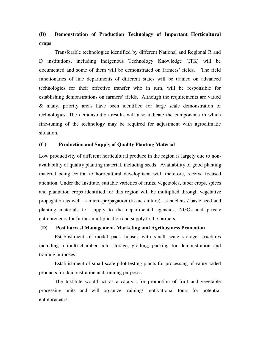## **(B) Demonstration of Production Technology of Important Horticultural crops**

Transferable technologies identified by different National and Regional R and D institutions, including Indigenous Technology Knowledge (ITK) will be documented and some of them will be demonstrated on farmers' fields. The field functionaries of line departments of different states will be trained on advanced technologies for their effective transfer who in turn, will be responsible for establishing demonstrations on farmers' fields. Although the requirements are varied & many, priority areas have been identified for large scale demonstration of technologies. The demonstration results will also indicate the components in which fine-tuning of the technology may be required for adjustment with agroclimatic situation.

#### **(C) Production and Supply of Quality Planting Material**

Low productivity of different horticultural produce in the region is largely due to nonavailability of quality planting material, including seeds. Availability of good planting material being central to horticultural development will, therefore, receive focused attention. Under the Institute, suitable varieties of fruits, vegetables, tuber crops, spices and plantation crops identified for this region will be multiplied through vegetative propagation as well as micro-propagation (tissue culture), as nucleus / basic seed and planting materials for supply to the departmental agencies, NGOs and private entrepreneurs for further multiplication and supply to the farmers.

#### **(D) Post harvest Management, Marketing and Agribusiness Promotion**

Establishment of model pack houses with small scale storage structures including a multi-chamber cold storage, grading, packing for demonstration and training purposes;

Establishment of small scale pilot testing plants for processing of value added products for demonstration and training purposes.

The Institute would act as a catalyst for promotion of fruit and vegetable processing units and will organize training/ motivational tours for potential entrepreneurs.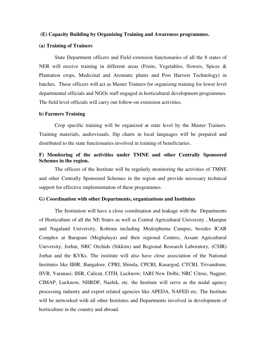#### **(E) Capacity Building by Organizing Training and Awareness programmes.**

#### **(a) Training of Trainers**

State Department officers and Field extension functionaries of all the 8 states of NER will receive training in different areas (Fruits, Vegetables, flowers, Spices & Plantation crops, Medicinal and Aromatic plants and Post Harvest Technology) in batches. These officers will act as Master Trainers for organizing training for lower level departmental officials and NGOs staff engaged in horticultural development programmes. The field level officials will carry out follow-on extension activities.

#### **b) Farmers Training**

Crop specific training will be organized at state level by the Master Trainers. Training materials, audiovisuals, flip charts in local languages will be prepared and distributed to the state functionaries involved in training of beneficiaries.

#### **F) Monitoring of the activities under TMNE and other Centrally Sponsored Schemes in the region.**

The officers of the Institute will be regularly monitoring the activities of TMNE and other Centrally Sponsored Schemes in the region and provide necessary technical support for effective implementation of these programmes.

#### **G) Coordination with other Departments, organizations and Institutes**

The Institution will have a close coordination and leakage with the Departments of Horticulture of all the NE States as well as Central Agricultural University , Manipur and Nagaland University, Kohima including Medziphema Campus, besides ICAR Complex at Barapani (Meghalaya) and their regional Centres, Assam Agricultural University, Jorhat, NRC Orchids (Sikkim) and Regional Research Laboratory, (CSIR) Jorhat and the KVKs. The institute will also have close association of the National Institutes like IIHR, Bangalore, CPRI, Shimla, CPCRI, Kasargod, CTCRI, Trivandrum; IIVR, Varanasi; IISR, Calicut, CITH, Lucknow; IARI New Delhi; NRC Citrus, Nagpur; CIMAP, Lucknow, NHRDF, Nashik, etc. the Institute will serve as the nodal agency processing industry and export related agencies like APEDA, NAFED etc. The Institute will be networked with all other Institutes and Departments involved in development of horticulture in the country and abroad.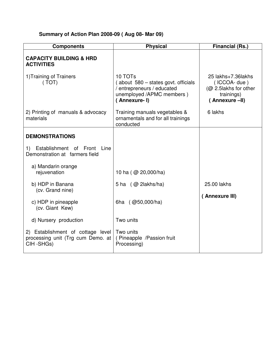# **Summary of Action Plan 2008-09 ( Aug 08- Mar 09)**

| <b>Components</b>                                                                   | <b>Physical</b>                                                                                                            | <b>Financial (Rs.)</b>                                                                     |
|-------------------------------------------------------------------------------------|----------------------------------------------------------------------------------------------------------------------------|--------------------------------------------------------------------------------------------|
| <b>CAPACITY BUILDING &amp; HRD</b><br><b>ACTIVITIES</b>                             |                                                                                                                            |                                                                                            |
| 1) Training of Trainers<br>(TOT)                                                    | 10 TOTs<br>(about 580 – states govt. officials<br>/ entrepreneurs / educated<br>unemployed /APMC members )<br>(Annexure-I) | 25 lakhs+7.36lakhs<br>(ICCOA-due)<br>(@ 2.5lakhs for other<br>trainings)<br>(Annexure -II) |
| 2) Printing of manuals & advocacy<br>materials                                      | Training manuals vegetables &<br>ornamentals and for all trainings<br>conducted                                            | 6 lakhs                                                                                    |
| <b>DEMONSTRATIONS</b>                                                               |                                                                                                                            |                                                                                            |
| Establishment of Front<br>Line<br>1)<br>Demonstration at farmers field              |                                                                                                                            |                                                                                            |
| a) Mandarin orange<br>rejuvenation                                                  | 10 ha ( $@$ 20,000/ha)                                                                                                     |                                                                                            |
| b) HDP in Banana<br>(cv. Grand nine)                                                | 5 ha $(Q^2)$ 2 lakhs/ha)                                                                                                   | 25.00 lakhs                                                                                |
| c) HDP in pineapple<br>(cv. Giant Kew)                                              | 6ha $(Q50,000/ha)$                                                                                                         | (Annexure III)                                                                             |
| d) Nursery production                                                               | Two units                                                                                                                  |                                                                                            |
| 2) Establishment of cottage level<br>processing unit (Trg cum Demo. at<br>CIH-SHGs) | Two units<br>(Pineapple /Passion fruit<br>Processing)                                                                      |                                                                                            |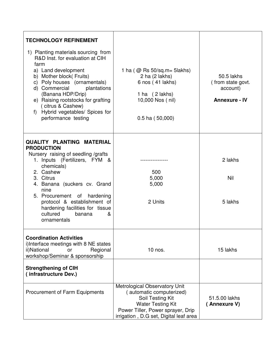| <b>TECHNOLOGY REFINEMENT</b>                                                                                                                                                                                                                                                                                                                      |                                                                                                                                                                                          |                                                                     |
|---------------------------------------------------------------------------------------------------------------------------------------------------------------------------------------------------------------------------------------------------------------------------------------------------------------------------------------------------|------------------------------------------------------------------------------------------------------------------------------------------------------------------------------------------|---------------------------------------------------------------------|
| 1) Planting materials sourcing from<br>R&D Inst. for evaluation at CIH<br>farm<br>a) Land development<br>b) Mother block(Fruits)<br>c) Poly houses (ornamentals)<br>d) Commercial<br>plantations<br>(Banana HDP/Drip)<br>e) Raising rootstocks for grafting<br>(citrus & Cashew)<br>Hybrid vegetables/ Spices for<br>f<br>performance testing     | 1 ha ( $\omega$ Rs 50/sq.m= 5 lakhs)<br>2 ha $(2$ lakhs)<br>6 nos (41 lakhs)<br>1 ha $(2$ lakhs)<br>10,000 Nos ( nil)<br>$0.5$ ha $(50,000)$                                             | 50.5 lakhs<br>(from state govt.<br>account)<br><b>Annexure - IV</b> |
| QUALITY PLANTING MATERIAL<br><b>PRODUCTION</b><br>Nursery raising of seedling /grafts<br>1. Inputs (Fertilizers, FYM &<br>chemicals)<br>2. Cashew<br>3. Citrus<br>4. Banana (suckers cv. Grand<br>nine<br>5. Procurement of hardening<br>protocol & establishment of<br>hardening facilities for tissue<br>cultured<br>banana<br>&<br>ornamentals | 500<br>5,000<br>5,000<br>2 Units                                                                                                                                                         | 2 lakhs<br>Nil<br>5 lakhs                                           |
| <b>Coordination Activities</b><br>i) Interface meetings with 8 NE states<br>ii)National<br>Regional<br><b>or</b><br>workshop/Seminar & sponsorship                                                                                                                                                                                                | $10$ nos.                                                                                                                                                                                | 15 lakhs                                                            |
| <b>Strengthening of CIH</b><br>(infrastructure Dev.)                                                                                                                                                                                                                                                                                              |                                                                                                                                                                                          |                                                                     |
| <b>Procurement of Farm Equipments</b>                                                                                                                                                                                                                                                                                                             | Metrological Observatory Unit<br>(automatic computerized)<br>Soil Testing Kit<br><b>Water Testing Kit</b><br>Power Tiller, Power sprayer, Drip<br>irrigation, D.G set, Digital leaf area | 51.5.00 lakhs<br>(Annexure V)                                       |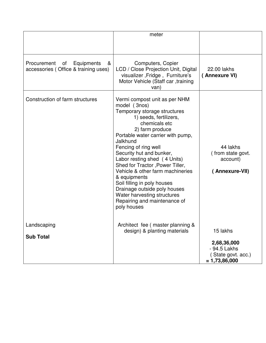|                                                                              | meter                                                                                                                                                                                                                                                                                                                                                                                                                                                                                                                |                                                                     |
|------------------------------------------------------------------------------|----------------------------------------------------------------------------------------------------------------------------------------------------------------------------------------------------------------------------------------------------------------------------------------------------------------------------------------------------------------------------------------------------------------------------------------------------------------------------------------------------------------------|---------------------------------------------------------------------|
| Procurement<br>Equipments<br>of<br>&<br>accessories (Office & training uses) | Computers, Copier<br>LCD / Close Projection Unit, Digital<br>visualizer, Fridge, Furniture's<br>Motor Vehicle (Staff car , training<br>van)                                                                                                                                                                                                                                                                                                                                                                          | 22.00 lakhs<br>(Annexure VI)                                        |
| Construction of farm structures                                              | Vermi compost unit as per NHM<br>model (3nos)<br>Temporary storage structures<br>1) seeds, fertilizers,<br>chemicals etc<br>2) farm produce<br>Portable water carrier with pump,<br>Jalkhund<br>Fencing of ring well<br>Security hut and bunker,<br>Labor resting shed (4 Units)<br>Shed for Tractor, Power Tiller,<br>Vehicle & other farm machineries<br>& equipments<br>Soil filling in poly houses<br>Drainage outside poly houses<br>Water harvesting structures<br>Repairing and maintenance of<br>poly houses | 44 lakhs<br>(from state govt.<br>account)<br><b>Annexure-VII)</b>   |
| Landscaping<br><b>Sub Total</b>                                              | Architect fee (master planning &<br>design) & planting materials                                                                                                                                                                                                                                                                                                                                                                                                                                                     | 15 lakhs                                                            |
|                                                                              |                                                                                                                                                                                                                                                                                                                                                                                                                                                                                                                      | 2,68,36,000<br>- 94.5 Lakhs<br>State govt. acc.)<br>$= 1,73,86,000$ |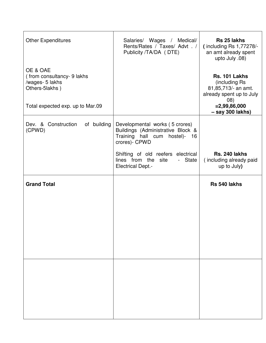| <b>Other Expenditures</b>                                                                                       | Salaries/ Wages / Medical/<br>Rents/Rates / Taxes/ Advt . /<br>Publicity /TA/DA (DTE)                                 | <b>Rs 25 lakhs</b><br>(including Rs 1,77278/-<br>an amt already spent<br>upto July .08)                      |
|-----------------------------------------------------------------------------------------------------------------|-----------------------------------------------------------------------------------------------------------------------|--------------------------------------------------------------------------------------------------------------|
| OE & OAE<br>(from consultancy- 9 lakhs<br>/wages- 5 lakhs<br>Others-5lakhs)<br>Total expected exp. up to Mar.09 |                                                                                                                       | Rs. 101 Lakhs<br>(including Rs<br>81,85,713/- an amt.<br>already spent up to July<br>(08)<br>$= 2,99,86,000$ |
| Dev. & Construction of building<br>(CPWD)                                                                       | Developmental works (5 crores)<br>Buildings (Administrative Block &<br>Training hall cum hostel)- 16<br>crores)- CPWD | - say 300 lakhs)                                                                                             |
|                                                                                                                 | Shifting of old reefers electrical<br>lines from the site<br>- State<br><b>Electrical Dept.-</b>                      | <b>Rs. 240 lakhs</b><br>(including already paid<br>up to July)                                               |
|                                                                                                                 |                                                                                                                       |                                                                                                              |
| <b>Grand Total</b>                                                                                              |                                                                                                                       | Rs 540 lakhs                                                                                                 |
|                                                                                                                 |                                                                                                                       |                                                                                                              |
|                                                                                                                 |                                                                                                                       |                                                                                                              |
|                                                                                                                 |                                                                                                                       |                                                                                                              |
|                                                                                                                 |                                                                                                                       |                                                                                                              |
|                                                                                                                 |                                                                                                                       |                                                                                                              |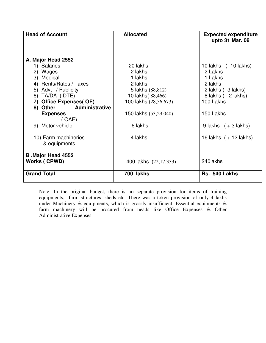| <b>Head of Account</b>                    | <b>Allocated</b>      | <b>Expected expenditure</b><br>upto 31 Mar. 08 |
|-------------------------------------------|-----------------------|------------------------------------------------|
| A. Major Head 2552                        |                       |                                                |
| 1) Salaries                               | 20 lakhs              | 10 lakhs $( -10$ lakhs)                        |
| Wages<br>2)                               | 2 lakhs               | 2 Lakhs                                        |
| 3)<br>Medical                             | 1 lakhs               | 1 Lakhs                                        |
| Rents/Rates / Taxes<br>4)                 | 2 lakhs               | 2 lakhs                                        |
| 5) Advt. / Publicity                      | 5 lakhs (88,812)      | 2 lakhs (- 3 lakhs)                            |
| TA/DA (DTE)<br>6)                         | 10 lakhs (88,466)     | 8 lakhs ( - 2 lakhs)                           |
| <b>Office Expenses( OE)</b><br>7)         | 100 lakhs (28,56,673) | 100 Lakhs                                      |
| Administrative<br>8) Other                |                       |                                                |
| <b>Expenses</b><br>(OAE)                  | 150 lakhs (53,29,040) | 150 Lakhs                                      |
| 9) Motor vehicle                          | 6 lakhs               | $9$ lakhs $(+3$ lakhs)                         |
| 10) Farm machineries<br>& equipments      | 4 lakhs               | 16 lakhs $(+12$ lakhs)                         |
| <b>B.Major Head 4552</b><br>Works ( CPWD) | 400 lakhs (22,17,333) | 240 lakhs                                      |
| <b>Grand Total</b>                        | 700 lakhs             | Rs. 540 Lakhs                                  |

Note: In the original budget, there is no separate provision for items of training equipments, farm structures ,sheds etc. There was a token provision of only 4 lakhs under Machinery & equipments, which is grossly insufficient. Essential equipments & farm machinery will be procured from heads like Office Expenses & Other Administrative Expenses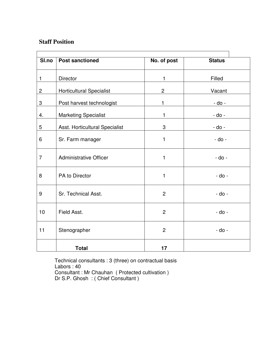## **Staff Position**

| SI.no          | <b>Post sanctioned</b>          | No. of post    | <b>Status</b> |
|----------------|---------------------------------|----------------|---------------|
| $\mathbf 1$    | <b>Director</b>                 | $\mathbf{1}$   | Filled        |
| $\overline{c}$ | <b>Horticultural Specialist</b> | $\overline{c}$ | Vacant        |
| 3              | Post harvest technologist       | 1              | - do -        |
| 4.             | <b>Marketing Specialist</b>     | 1              | $-$ do $-$    |
| 5              | Asst. Horticultural Specialist  | 3              | $-$ do $-$    |
| 6              | Sr. Farm manager                | $\mathbf{1}$   | - do -        |
| $\overline{7}$ | <b>Administrative Officer</b>   | 1              | - do -        |
| 8              | PA to Director                  | 1              | - do -        |
| 9              | Sr. Technical Asst.             | $\overline{2}$ | - do -        |
| 10             | Field Asst.                     | $\overline{2}$ | - do -        |
| 11             | Stenographer                    | $\overline{2}$ | - do -        |
|                | <b>Total</b>                    | 17             |               |

Technical consultants : 3 (three) on contractual basis Labors : 40 Consultant : Mr Chauhan ( Protected cultivation ) Dr S.P. Ghosh : ( Chief Consultant )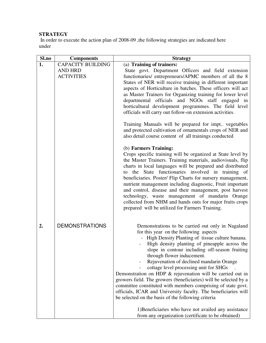### **STRATEGY**

In order to execute the action plan of 2008-09 ,the following strategies are indicated here under

| Sl.no | <b>Components</b>                   | <b>Strategy</b>                                                                                                                                                                                                                                                                                                                                                                                                                                                                                                                                                                                                                                                                                                                                                                                            |  |
|-------|-------------------------------------|------------------------------------------------------------------------------------------------------------------------------------------------------------------------------------------------------------------------------------------------------------------------------------------------------------------------------------------------------------------------------------------------------------------------------------------------------------------------------------------------------------------------------------------------------------------------------------------------------------------------------------------------------------------------------------------------------------------------------------------------------------------------------------------------------------|--|
| 1.    | <b>CAPACITY BUILDING</b>            | (a) Training of trainers:                                                                                                                                                                                                                                                                                                                                                                                                                                                                                                                                                                                                                                                                                                                                                                                  |  |
|       | <b>AND HRD</b><br><b>ACTIVITIES</b> | State govt. Department Officers and field extension<br>functionaries/ entrepreneurs/APMC members of all the 8<br>States of NER will receive training in different important<br>aspects of Horticulture in batches. These officers will act<br>as Master Trainers for Organizing training for lower level<br>departmental officials and NGOs staff engaged in<br>horticultural development programmes. The field level<br>officials will carry out follow-on extension activities.<br>Training Manuals will be prepared for impt vegetables                                                                                                                                                                                                                                                                 |  |
| 2.    | <b>DEMONSTRATIONS</b>               | and protected cultivation of ornamentals crops of NER and<br>also detail course content of all trainings conducted<br>(b) Farmers Training:<br>Crops specific training will be organized at State level by<br>the Master Trainers. Training materials, audiovisuals, flip<br>charts in local languages will be prepared and distributed<br>to the State functionaries involved in training of<br>beneficiaries. Poster/ Flip Charts for nursery management,<br>nutrient management including diagnostic, Fruit important<br>and control, disease and their management, post harvest<br>technology, waste management of mandarin Orange<br>collected from NHM and hands outs for major fruits crops<br>prepared will be utilized for Farmers Training.<br>Demonstrations to be carried out only in Nagaland |  |
|       |                                     | for this year on the following aspects<br>- High Density Planting of tissue culture banana.<br>High density planting of pineapple across the<br>slope in contour including off-season fruiting<br>through flower inducement.<br>Rejuvenation of declined mandarin Orange<br>cottage level processing unit for SHGs<br>Demonstration on HDP & rejuvenation will be carried out in<br>growers field. The growers (beneficiaries) will be selected by a<br>committee constituted with members comprising of state govt.<br>officials, ICAR and University faculty. The beneficiaries will<br>be selected on the basis of the following criteria<br>1) Beneficiaries who have not availed any assistance<br>from any organization (certificate to be obtained)                                                 |  |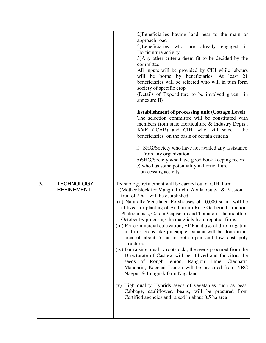|    |                                        | 2) Beneficiaries having land near to the main or<br>approach road<br>3) Beneficiaries who are<br>already<br>engaged<br>in<br>Horticulture activity<br>3) Any other criteria deem fit to be decided by the<br>committee<br>All inputs will be provided by CIH while labours<br>will be borne by beneficiaries. At least 21<br>beneficiaries will be selected who will in turn form<br>society of specific crop<br>(Details of Expenditure to be involved given<br>in<br>annexure II)<br><b>Establishment of processing unit (Cottage Level)</b>                                                                                                                                                                                                                                                                                                                                                                                                                                                                                                                    |
|----|----------------------------------------|-------------------------------------------------------------------------------------------------------------------------------------------------------------------------------------------------------------------------------------------------------------------------------------------------------------------------------------------------------------------------------------------------------------------------------------------------------------------------------------------------------------------------------------------------------------------------------------------------------------------------------------------------------------------------------------------------------------------------------------------------------------------------------------------------------------------------------------------------------------------------------------------------------------------------------------------------------------------------------------------------------------------------------------------------------------------|
|    |                                        | The selection committee will be constituted with<br>members from state Horticulture & Industry Depts.,<br>KVK (ICAR) and CIH , who will select<br>the<br>beneficiaries on the basis of certain criteria<br>a) SHG/Society who have not availed any assistance                                                                                                                                                                                                                                                                                                                                                                                                                                                                                                                                                                                                                                                                                                                                                                                                     |
|    |                                        | from any organization<br>b)SHG/Society who have good book keeping record<br>c) who has some potentiality in horticulture<br>processing activity                                                                                                                                                                                                                                                                                                                                                                                                                                                                                                                                                                                                                                                                                                                                                                                                                                                                                                                   |
| 3. | <b>TECHNOLOGY</b><br><b>REFINEMENT</b> | Technology refinement will be carried out at CIH. farm<br>i)Mother block for Mango, Litchi, Aonla Guava & Passion<br>fruit of 2 ha will be established<br>(ii) Naturally Ventilated Polyhouses of 10,000 sq m. will be<br>utilized for planting of Anthurium Rose Gerbera, Carnation,<br>Phaleonopsis, Colour Capiscum and Tomato in the month of<br>October by procuring the materials from reputed firms.<br>(iii) For commercial cultivation, HDP and use of drip irrigation<br>in fruits crops like pineapple, banana will be done in an<br>area of about 5 ha in both open and low cost poly<br>structure.<br>(iv) For raising quality rootstock, the seeds procured from the<br>Directorate of Cashew will be utilized and for citrus the<br>seeds of Rough lemon, Rangpur Lime, Cleopatra<br>Mandarin, Kacchai Lemon will be procured from NRC<br>Nagpur & Lungnak farm Nagaland<br>(v) High quality Hybrids seeds of vegetables such as peas,<br>Cabbage, cauliflower, beans, will be procured from<br>Certified agencies and raised in about 0.5 ha area |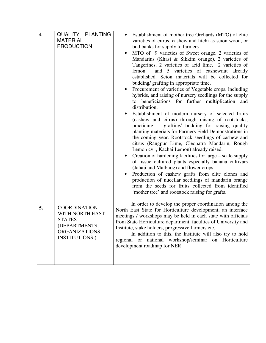| $\overline{\mathbf{4}}$ | QUALITY PLANTING<br><b>MATERIAL</b><br><b>PRODUCTION</b>                                                    | Establishment of mother tree Orchards (MTO) of elite<br>varieties of citrus, cashew and litchi as scion wood, or<br>bud banks for supply to farmers<br>MTO of 9 varieties of Sweet orange, 2 varieties of<br>Mandarins (Khasi & Sikkim orange), 2 varieties of<br>Tangerines, 2 varieties of acid lime, 2 varieties of<br>and 5 varieties of cashewnut already<br>lemon<br>established. Scion materials will be collected for<br>budding/grafting in appropriate time.<br>Procurement of varieties of Vegetable crops, including<br>hybrids, and raising of nursery seedlings for the supply<br>to beneficiations for further multiplication and<br>distribution.<br>Establishment of modern nursery of selected fruits<br>$\bullet$<br>(cashew and citrus) through raising of rootstocks,<br>grafting/ budding for raising quality<br>practicing<br>planting materials for Farmers Field Demonstrations in<br>the coming year. Rootstock seedlings of cashew and<br>citrus (Rangpur Lime, Cleopatra Mandarin, Rough<br>Lemon cv., Kachai Lemon) already raised.<br>Creation of hardening facilities for large – scale supply<br>of tissue cultured plants especially banana cultivars<br>(Jahaji and Malbhog) and flower crops.<br>Production of cashew grafts from elite clones and |
|-------------------------|-------------------------------------------------------------------------------------------------------------|---------------------------------------------------------------------------------------------------------------------------------------------------------------------------------------------------------------------------------------------------------------------------------------------------------------------------------------------------------------------------------------------------------------------------------------------------------------------------------------------------------------------------------------------------------------------------------------------------------------------------------------------------------------------------------------------------------------------------------------------------------------------------------------------------------------------------------------------------------------------------------------------------------------------------------------------------------------------------------------------------------------------------------------------------------------------------------------------------------------------------------------------------------------------------------------------------------------------------------------------------------------------------------------|
|                         |                                                                                                             | production of nucellar seedlings of mandarin orange<br>from the seeds for fruits collected from identified<br>'mother tree' and rootstock raising for grafts.                                                                                                                                                                                                                                                                                                                                                                                                                                                                                                                                                                                                                                                                                                                                                                                                                                                                                                                                                                                                                                                                                                                         |
| 5.                      | <b>COORDINATION</b><br>WITH NORTH EAST<br><b>STATES</b><br>(DEPARTMENTS,<br>ORGANIZATIONS,<br>INSTITUTIONS) | In order to develop the proper coordination among the<br>North East State for Horticulture development, an interface<br>meetings / workshops may be held in each state with officials<br>from State Horticulture department, faculties of University and<br>Institute, stake holders, progressive farmers etc<br>In addition to this, the Institute will also try to hold<br>regional or national workshop/seminar on Horticulture<br>development roadmap for NER                                                                                                                                                                                                                                                                                                                                                                                                                                                                                                                                                                                                                                                                                                                                                                                                                     |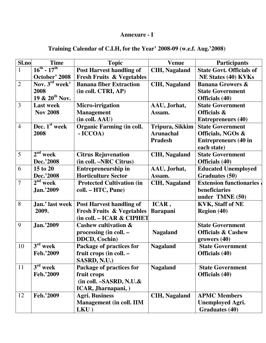# **Annexure - I**

# **Training Calendar of C.I.H, for the Year' 2008-09 (w.e.f. Aug.'2008)**

| Sl.no          | <b>Time</b>                | <b>Topic</b>                         | <b>Venue</b>          | <b>Participants</b>             |
|----------------|----------------------------|--------------------------------------|-----------------------|---------------------------------|
| $\mathbf{1}$   | $16^{th} - 17^{th}$        | <b>Post Harvest handling of</b>      | <b>CIH</b> , Nagaland | <b>State Govt. Officials of</b> |
|                | October' 2008              | <b>Fresh Fruits &amp; Vegetables</b> |                       | <b>NE States (40) KVKs</b>      |
| $\overline{2}$ | Nov. 3 <sup>rd</sup> week' | <b>Banana fiber Extraction</b>       | <b>CIH</b> , Nagaland | <b>Banana Growers &amp;</b>     |
|                | 2008                       | (in coll. CTRI, AP)                  |                       | <b>State Government</b>         |
|                | $19 \& 20^{th}$ Nov.       |                                      |                       | <b>Officials</b> (40)           |
| 3              | <b>Last week</b>           | Micro-irrigation                     | AAU, Jorhat,          | <b>State Government</b>         |
|                | <b>Nov 2008</b>            | <b>Management</b>                    | Assam.                | Officials &                     |
|                |                            | (in coll. AAU)                       |                       | <b>Entrepreneurs (40)</b>       |
| $\overline{4}$ | Dec. 1 <sup>st</sup> week  | <b>Organic Farming (in coll.</b>     | Tripura, Sikkim       | <b>State Government</b>         |
|                | 2008                       | - ICCOA)                             | <b>Arunachal</b>      | Officials, NGOs &               |
|                |                            |                                      | <b>Pradesh</b>        | <b>Entrepreneurs (40 in</b>     |
|                |                            |                                      |                       | each state)                     |
| 5              | $2nd$ week                 | <b>Citrus Rejuvenation</b>           | <b>CIH</b> , Nagaland | <b>State Government</b>         |
|                | Dec.'2008                  | (in coll. -NRC Citrus)               |                       | Officials (40)                  |
| 6              | 15 to 20                   | <b>Entrepreneurship in</b>           | AAU, Jorhat,          | <b>Educated Unemployed</b>      |
|                | Dec.'2008                  | <b>Horticulture Sector</b>           | Assam.                | <b>Graduates (50)</b>           |
| $\overline{7}$ | $2nd$ week                 | <b>Protected Cultivation (in</b>     | <b>CIH, Nagaland</b>  | <b>Extension functionaries</b>  |
|                | Jan.'2009                  | coll. – HTC, Pune)                   |                       | beneficiaries                   |
|                |                            |                                      |                       | under TMNE (50)                 |
| 8              | Jan.' last week            | <b>Post Harvest handling of</b>      | ICAR,                 | <b>KVK, Staff of NE</b>         |
|                | 2009.                      | <b>Fresh Fruits &amp; Vegetables</b> | <b>Barapani</b>       | <b>Region</b> (40)              |
|                |                            | (in coll. - ICAR & CIPHET            |                       |                                 |
| 9              | Jan.'2009                  | <b>Cashew cultivation &amp;</b>      |                       | <b>State Government</b>         |
|                |                            | processing (in coll. -               | <b>Nagaland</b>       | <b>Officials &amp; Cashew</b>   |
|                |                            | <b>DDCD</b> , Cochin)                |                       | growers $(40)$                  |
| 10             | $3rd$ week                 | Package of practices for             | <b>Nagaland</b>       | <b>State Government</b>         |
|                | Feb.'2009                  | fruit crops (in coll. -              |                       | Officials (40)                  |
|                |                            | SASRD, N.U.)                         |                       |                                 |
| 11             | $3rd$ week                 | Package of practices for             | <b>Nagaland</b>       | <b>State Government</b>         |
|                | Feb.'2009                  | fruit crops                          |                       | <b>Officials</b> (40)           |
|                |                            | (in coll. -SASRD, N.U.&              |                       |                                 |
|                |                            | ICAR, Jharnapani, )                  |                       |                                 |
| 12             | Feb.'2009                  | <b>Agri. Business</b>                | <b>CIH, Nagaland</b>  | <b>APMC Members</b>             |
|                |                            | <b>Management (in coll. IIM</b>      |                       | <b>Unemployed Agri.</b>         |
|                |                            | $LKU$ )                              |                       | <b>Graduates (40)</b>           |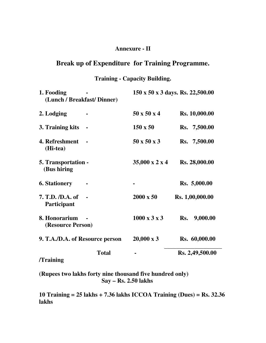## **Annexure - II**

# **Break up of Expenditure for Training Programme.**

## **Training - Capacity Building.**

| 1. Fooding<br>(Lunch / Breakfast/ Dinner) |              |                          | 150 x 50 x 3 days. Rs. 22,500.00 |
|-------------------------------------------|--------------|--------------------------|----------------------------------|
| 2. Lodging                                |              | $50 \times 50 \times 4$  | Rs. 10,000.00                    |
| 3. Training kits                          |              | $150 \times 50$          | Rs. 7,500.00                     |
| 4. Refreshment<br>(Hi-tea)                |              | $50 \times 50 \times 3$  | Rs. 7,500.00                     |
| 5. Transportation -<br>(Bus hiring        |              | 35,000 x 2 x 4           | Rs. 28,000.00                    |
| <b>6. Stationery</b>                      |              |                          | Rs. 5,000.00                     |
| 7. T.D. /D.A. of<br>Participant           |              | $2000 \times 50$         | Rs. 1,00,000.00                  |
| 8. Honorarium<br>(Resource Person)        |              | $1000 \times 3 \times 3$ | 9,000.00<br>Rs.                  |
| 9. T.A./D.A. of Resource person           |              | $20,000 \times 3$        | Rs. 60,000.00                    |
| /Training                                 | <b>Total</b> |                          | Rs. 2,49,500.00                  |

## **(Rupees two lakhs forty nine thousand five hundred only) Say – Rs. 2.50 lakhs**

**10 Training = 25 lakhs + 7.36 lakhs ICCOA Training (Dues) = Rs. 32.36 lakhs**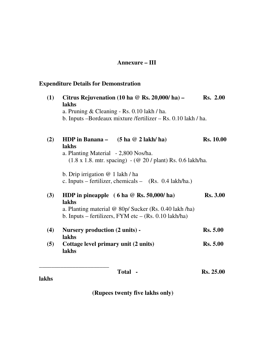## **Annexure – III**

# **Expenditure Details for Demonstration**

| (1) | Citrus Rejuvenation (10 ha @ Rs. 20,000/ ha) –<br>lakhs                                                                                                                                                 | <b>Rs. 2.00</b>  |
|-----|---------------------------------------------------------------------------------------------------------------------------------------------------------------------------------------------------------|------------------|
|     | a. Pruning & Cleaning - Rs. 0.10 lakh / ha.<br>b. Inputs –Bordeaux mixture /fertilizer – Rs. 0.10 lakh / ha.                                                                                            |                  |
| (2) | HDP in Banana – $(5 \text{ ha } @ 2 \text{ lakh/ha})$<br>lakhs<br>a. Planting Material - 2,800 Nos/ha.<br>$(1.8 \times 1.8)$ . mtr. spacing) $-(\omega 20 / \text{plant})$ Rs. 0.6 lakh/ha.             | <b>Rs.</b> 10.00 |
|     | b. Drip irrigation $@$ 1 lakh / ha<br>c. Inputs – fertilizer, chemicals – $(Rs. 0.4 \, \text{lakh/ha.})$                                                                                                |                  |
| (3) | HDP in pineapple $(6 \text{ ha } @ \text{ Rs. } 50,000/\text{ ha})$<br>lakhs<br>a. Planting material $\omega$ 80p/ Sucker (Rs. 0.40 lakh/ha)<br>b. Inputs – fertilizers, FYM etc – $(Rs. 0.10$ lakh/ha) | <b>Rs. 3.00</b>  |
| (4) | <b>Nursery production (2 units) -</b><br>lakhs                                                                                                                                                          | <b>Rs.</b> 5.00  |
| (5) | Cottage level primary unit (2 units)<br>lakhs                                                                                                                                                           | <b>Rs.</b> 5.00  |
|     |                                                                                                                                                                                                         |                  |

**lakhs**

**Total - Rs. 25.00**

**(Rupees twenty five lakhs only)**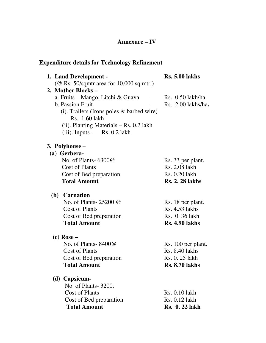#### **Annexure – IV**

### **Expenditure details for Technology Refinement**

| 1. Land Development -                                    |                | <b>Rs. 5.00 lakhs</b> |
|----------------------------------------------------------|----------------|-----------------------|
| $(\textcircled{e}$ Rs. 50/sqmtr area for 10,000 sq mtr.) |                |                       |
| 2. Mother Blocks-                                        |                |                       |
| a. Fruits – Mango, Litchi & Guava                        | $\sim$ $ \sim$ | Rs. 0.50 lakh/ha.     |
| b. Passion Fruit                                         |                | Rs. 2.00 lakhs/ha.    |
| $(i)$ . Trailers (Irons poles & barbed wire)             |                |                       |
| Rs. 1.60 lakh                                            |                |                       |
| $(ii)$ . Planting Materials – Rs. 0.2 lakh               |                |                       |
| $(iii)$ . Inputs - Rs. 0.2 lakh                          |                |                       |

#### **3. Polyhouse –**

**(a) Gerbera-**No. of Plants- 6300@ Rs. 33 per plant.

Cost of Plants Rs. 2.08 lakh Cost of Bed preparation Rs. 0.20 lakh **Total Amount Rs. 2. 28 lakhs**

### **(b) Carnation** No. of Plants- 25200 @ Rs. 18 per plant. Cost of Plants Rs. 4.53 lakhs Cost of Bed preparation Rs. 0. 36 lakh **Total Amount Rs. 4.90 lakhs**

**(c) Rose –**

No. of Plants- 8400@ Rs. 100 per plant. Cost of Plants Rs. 8.40 lakhs Cost of Bed preparation Rs. 0. 25 lakh **Total Amount Rs. 8.70 lakhs**

**(d) Capsicum-**No. of Plants- 3200. Cost of Plants Rs. 0.10 lakh Cost of Bed preparation Rs. 0.12 lakh **Total Amount Rs. 0. 22 lakh**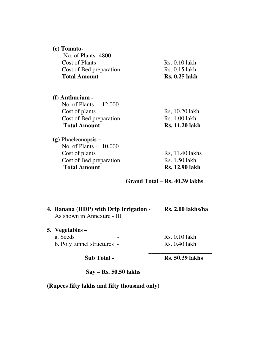| (e) Tomato-             |                       |
|-------------------------|-----------------------|
| No. of Plants - 4800.   |                       |
| Cost of Plants          | Rs. 0.10 lakh         |
| Cost of Bed preparation | Rs. 0.15 lakh         |
| <b>Total Amount</b>     | <b>Rs. 0.25 lakh</b>  |
| (f) Anthurium -         |                       |
| No. of Plants - 12,000  |                       |
| Cost of plants          | Rs, 10.20 lakh        |
| Cost of Bed preparation | Rs. 1.00 lakh         |
| <b>Total Amount</b>     | <b>Rs. 11.20 lakh</b> |
| $(g)$ Phaeleonopsis –   |                       |
| No. of Plants - 10,000  |                       |
| Cost of plants          | Rs, 11.40 lakhs       |
| Cost of Bed preparation | Rs. 1.50 lakh         |
| <b>Total Amount</b>     | <b>Rs. 12.90 lakh</b> |

## **Grand Total – Rs. 40.39 lakhs**

| 4. Banana (HDP) with Drip Irrigation - |   | Rs. 2.00 lakhs/ha |
|----------------------------------------|---|-------------------|
| As shown in Annexure - III             |   |                   |
| 5. Vegetables –                        |   |                   |
| a. Seeds                               | - | Rs. 0.10 lakh     |

b. Poly tunnel structures - Rs. 0.40 lakh **\_\_\_\_\_\_\_\_\_\_\_\_\_\_\_\_\_\_\_\_\_**

**Sub Total - Rs. 50.39 lakhs**

**Say – Rs. 50.50 lakhs**

**(Rupees fifty lakhs and fifty thousand only)**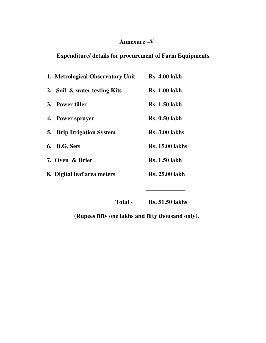## **Annexure –V**

# **Expenditure/ details for procurement of Farm Equipments**

| 1. Metrological Observatory Unit | <b>Rs. 4.00 lakh</b>   |
|----------------------------------|------------------------|
| 2. Soil & water testing Kits     | <b>Rs. 1.00 lakh</b>   |
| 3. Power tiller                  | <b>Rs. 1.50 lakh</b>   |
| 4. Power sprayer                 | <b>Rs. 0.50 lakh</b>   |
| <b>5. Drip Irrigation System</b> | <b>Rs. 3.00 lakhs</b>  |
| <b>6. D.G. Sets</b>              | <b>Rs. 15.00 lakhs</b> |
| 7. Oven & Drier                  | <b>Rs. 1.50 lakh</b>   |
| 8. Digital leaf area meters      | <b>Rs. 25.00 lakh</b>  |
|                                  |                        |

**Total - Rs. 51.50 lakhs**

**(Rupees fifty one lakhs and fifty thousand only).**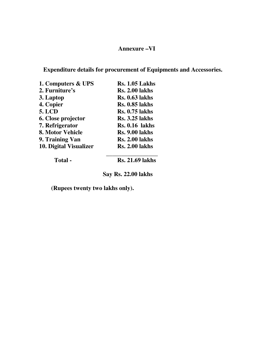## **Annexure –VI**

**Expenditure details for procurement of Equipments and Accessories.**

| <b>Rs. 2.00 lakhs</b><br><b>Rs. 0.63 lakhs</b> |
|------------------------------------------------|
|                                                |
|                                                |
| <b>Rs. 0.85 lakhs</b>                          |
| <b>Rs. 0.75 lakhs</b>                          |
| <b>Rs.</b> 3.25 lakhs                          |
| <b>Rs. 0.16 lakhs</b>                          |
| <b>Rs. 9.00 lakhs</b>                          |
| <b>Rs. 2.00 lakhs</b>                          |
| <b>Rs. 2.00 lakhs</b>                          |
| <b>Rs. 21.69 lakhs</b>                         |
|                                                |

**Say Rs. 22.00 lakhs**

**(Rupees twenty two lakhs only).**